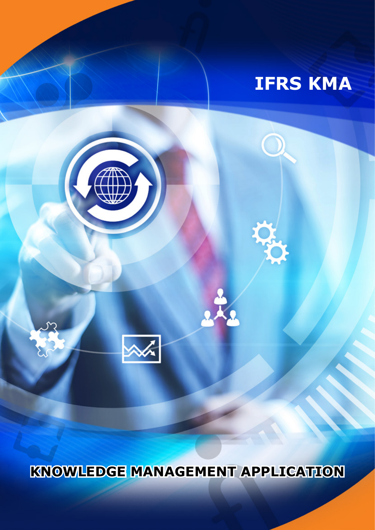

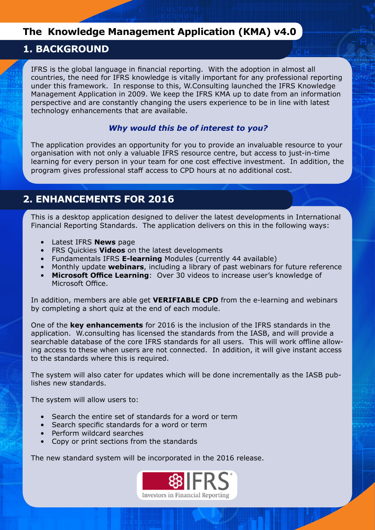### **The Knowledge Management Application (KMA) v4.0**

### **1. BACKGROUND**

IFRS is the global language in financial reporting. With the adoption in almost all countries, the need for IFRS knowledge is vitally important for any professional reporting under this framework. In response to this, W.Consulting launched the IFRS Knowledge Management Application in 2009. We keep the IFRS KMA up to date from an information perspective and are constantly changing the users experience to be in line with latest technology enhancements that are available.

### *Why would this be of interest to you?*

The application provides an opportunity for you to provide an invaluable resource to your organisation with not only a valuable IFRS resource centre, but access to just-in-time learning for every person in your team for one cost effective investment. In addition, the program gives professional staff access to CPD hours at no additional cost.

### **2. ENHANCEMENTS FOR 2016**

This is a desktop application designed to deliver the latest developments in International Financial Reporting Standards. The application delivers on this in the following ways:

- Latest IFRS **News** page
- FRS Quickies **Videos** on the latest developments
- Fundamentals IFRS **E-learning** Modules (currently 44 available)
- Monthly update **webinars**, including a library of past webinars for future reference
- **Microsoft Office Learning**: Over 30 videos to increase user's knowledge of Microsoft Office.

In addition, members are able get **VERIFIABLE CPD** from the e-learning and webinars by completing a short quiz at the end of each module.

One of the **key enhancements** for 2016 is the inclusion of the IFRS standards in the application. W.consulting has licensed the standards from the IASB, and will provide a searchable database of the core IFRS standards for all users. This will work offline allowing access to these when users are not connected. In addition, it will give instant access to the standards where this is required.

The system will also cater for updates which will be done incrementally as the IASB publishes new standards.

The system will allow users to:

- Search the entire set of standards for a word or term
- Search specific standards for a word or term
- Perform wildcard searches
- Copy or print sections from the standards

The new standard system will be incorporated in the 2016 release.

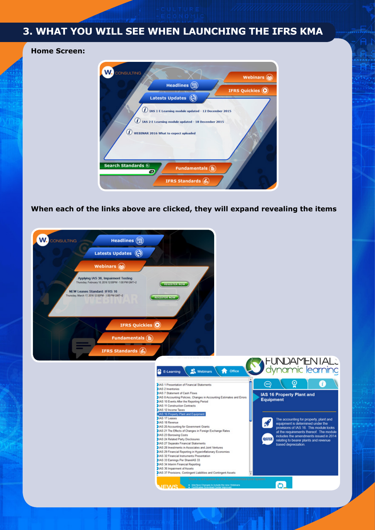# **3. WHAT YOU WILL SEE WHEN LAUNCHING THE IFRS KMA**

**Home Screen:** 



**When each of the links above are clicked, they will expand revealing the items**